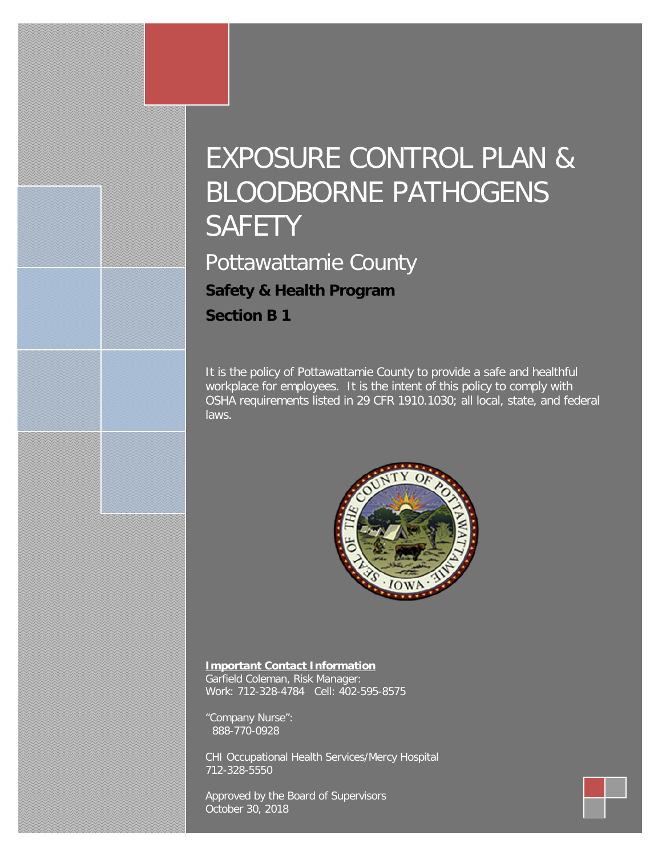## EXPOSURE CONTROL PLAN & BLOODBORNE PATHOGENS **SAFETY**

Pottawattamie County **Safety & Health Program Section B 1**

It is the policy of Pottawattamie County to provide a safe and healthful workplace for employees. It is the intent of this policy to comply with OSHA requirements listed in 29 CFR 1910.1030; all local, state, and federal laws.



#### **Important Contact Information**

Garfield Coleman, Risk Manager: Work: 712-328-4784 Cell: 402-595-8575

"Company Nurse": 888-770-0928

CHI Occupational Health Services/Mercy Hospital 712-328-5550

Approved by the Board of Supervisors October 30, 2018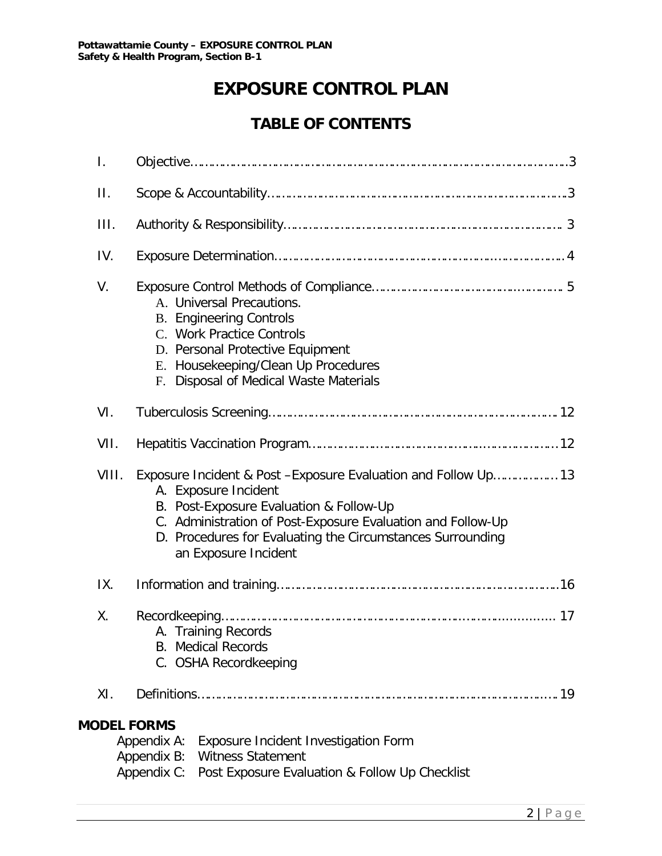## **EXPOSURE CONTROL PLAN**

### **TABLE OF CONTENTS**

| I.                                                                                                                                                                                    |                                                                                                                                                                                                                                                                                         |  |  |  |
|---------------------------------------------------------------------------------------------------------------------------------------------------------------------------------------|-----------------------------------------------------------------------------------------------------------------------------------------------------------------------------------------------------------------------------------------------------------------------------------------|--|--|--|
| Π.                                                                                                                                                                                    |                                                                                                                                                                                                                                                                                         |  |  |  |
| III.                                                                                                                                                                                  |                                                                                                                                                                                                                                                                                         |  |  |  |
| IV.                                                                                                                                                                                   |                                                                                                                                                                                                                                                                                         |  |  |  |
| V.                                                                                                                                                                                    | A. Universal Precautions.<br><b>B.</b> Engineering Controls<br>C. Work Practice Controls<br>D. Personal Protective Equipment<br>E. Housekeeping/Clean Up Procedures<br>F. Disposal of Medical Waste Materials                                                                           |  |  |  |
| VI.                                                                                                                                                                                   |                                                                                                                                                                                                                                                                                         |  |  |  |
| VII.                                                                                                                                                                                  |                                                                                                                                                                                                                                                                                         |  |  |  |
| VIII.                                                                                                                                                                                 | Exposure Incident & Post - Exposure Evaluation and Follow Up 13<br>A. Exposure Incident<br>B. Post-Exposure Evaluation & Follow-Up<br>C. Administration of Post-Exposure Evaluation and Follow-Up<br>D. Procedures for Evaluating the Circumstances Surrounding<br>an Exposure Incident |  |  |  |
| IX.                                                                                                                                                                                   |                                                                                                                                                                                                                                                                                         |  |  |  |
| Χ.                                                                                                                                                                                    | A. Training Records<br><b>B.</b> Medical Records<br>C. OSHA Recordkeeping                                                                                                                                                                                                               |  |  |  |
| XI.                                                                                                                                                                                   |                                                                                                                                                                                                                                                                                         |  |  |  |
| <b>MODEL FORMS</b><br>Exposure Incident Investigation Form<br>Appendix A:<br><b>Witness Statement</b><br>Appendix B:<br>Appendix C:<br>Post Exposure Evaluation & Follow Up Checklist |                                                                                                                                                                                                                                                                                         |  |  |  |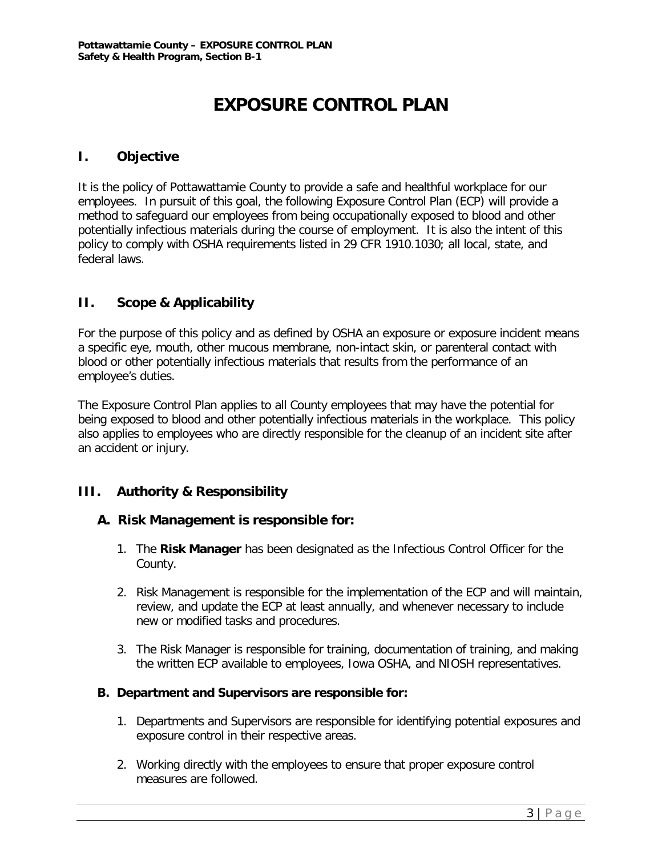## **EXPOSURE CONTROL PLAN**

#### **I. Objective**

It is the policy of Pottawattamie County to provide a safe and healthful workplace for our employees. In pursuit of this goal, the following Exposure Control Plan (ECP) will provide a method to safeguard our employees from being occupationally exposed to blood and other potentially infectious materials during the course of employment. It is also the intent of this policy to comply with OSHA requirements listed in 29 CFR 1910.1030; all local, state, and federal laws.

#### **II. Scope & Applicability**

For the purpose of this policy and as defined by OSHA an exposure or exposure incident means a specific eye, mouth, other mucous membrane, non-intact skin, or parenteral contact with blood or other potentially infectious materials that results from the performance of an employee's duties.

The Exposure Control Plan applies to all County employees that may have the potential for being exposed to blood and other potentially infectious materials in the workplace. This policy also applies to employees who are directly responsible for the cleanup of an incident site after an accident or injury.

#### **III. Authority & Responsibility**

#### **A. Risk Management is responsible for:**

- 1. The **Risk Manager** has been designated as the Infectious Control Officer for the County.
- 2. Risk Management is responsible for the implementation of the ECP and will maintain, review, and update the ECP at least annually, and whenever necessary to include new or modified tasks and procedures.
- 3. The Risk Manager is responsible for training, documentation of training, and making the written ECP available to employees, Iowa OSHA, and NIOSH representatives.

#### **B. Department and Supervisors are responsible for:**

- 1. Departments and Supervisors are responsible for identifying potential exposures and exposure control in their respective areas.
- 2. Working directly with the employees to ensure that proper exposure control measures are followed.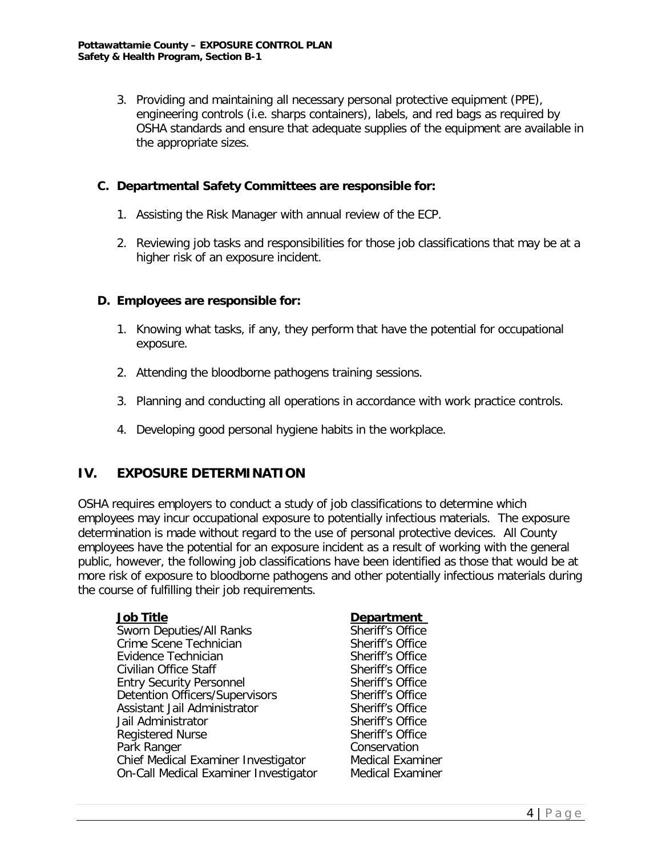3. Providing and maintaining all necessary personal protective equipment (PPE), engineering controls (i.e. sharps containers), labels, and red bags as required by OSHA standards and ensure that adequate supplies of the equipment are available in the appropriate sizes.

#### **C. Departmental Safety Committees are responsible for:**

- 1. Assisting the Risk Manager with annual review of the ECP.
- 2. Reviewing job tasks and responsibilities for those job classifications that may be at a higher risk of an exposure incident.

#### **D. Employees are responsible for:**

- 1. Knowing what tasks, if any, they perform that have the potential for occupational exposure.
- 2. Attending the bloodborne pathogens training sessions.
- 3. Planning and conducting all operations in accordance with work practice controls.
- 4. Developing good personal hygiene habits in the workplace.

#### **IV. EXPOSURE DETERMINATION**

OSHA requires employers to conduct a study of job classifications to determine which employees may incur occupational exposure to potentially infectious materials. The exposure determination is made without regard to the use of personal protective devices. All County employees have the potential for an exposure incident as a result of working with the general public, however, the following job classifications have been identified as those that would be at more risk of exposure to bloodborne pathogens and other potentially infectious materials during the course of fulfilling their job requirements.

| <b>Job Title</b>                      | <b>Department</b>       |
|---------------------------------------|-------------------------|
| Sworn Deputies/All Ranks              | Sheriff's Office        |
| Crime Scene Technician                | <b>Sheriff's Office</b> |
| Evidence Technician                   | <b>Sheriff's Office</b> |
| Civilian Office Staff                 | Sheriff's Office        |
| <b>Entry Security Personnel</b>       | Sheriff's Office        |
| <b>Detention Officers/Supervisors</b> | Sheriff's Office        |
| Assistant Jail Administrator          | Sheriff's Office        |
| Jail Administrator                    | <b>Sheriff's Office</b> |
| <b>Registered Nurse</b>               | Sheriff's Office        |
| Park Ranger                           | Conservation            |
| Chief Medical Examiner Investigator   | <b>Medical Examir</b>   |
| On-Call Medical Examiner Investigator | <b>Medical Examir</b>   |
|                                       |                         |

Examiner Examiner

4 | Page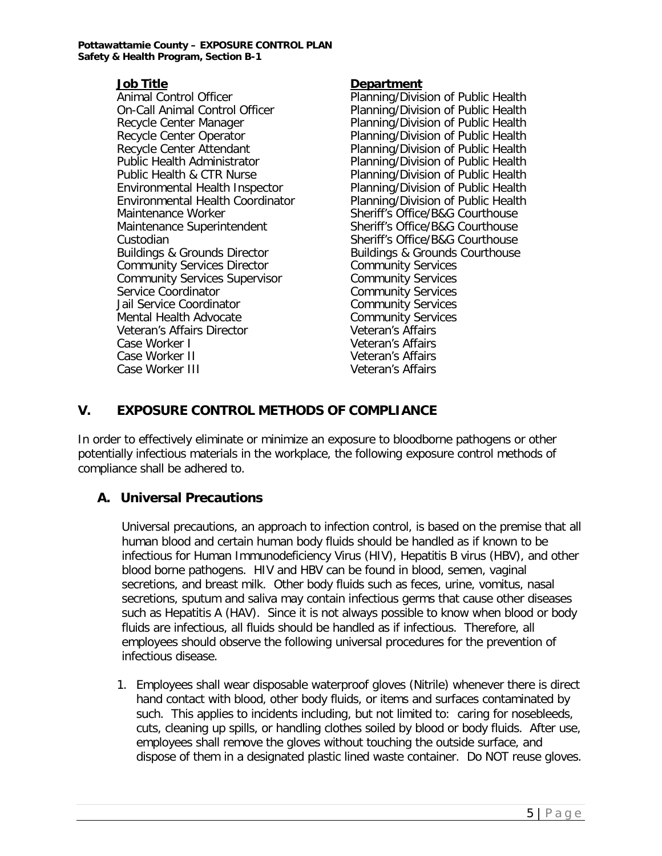**Job Title Department** Maintenance Worker Sheriff's Office/B&G Courthouse<br>
Maintenance Superintendent Sheriff's Office/B&G Courthouse Maintenance Superintendent Sheriff's Office/B&G Courthouse<br>Custodian Sheriff's Office/B&G Courthouse Custodian<br>Buildings & Grounds Director **Sheriff's Office/B&G Courthouse**<br>Buildings & Grounds Courthouse Community Services Director<br>
Community Services Supervisor<br>
Community Services Supervisor<br>
Community Services Community Services Supervisor<br>Service Coordinator Jail Service Coordinator<br>Mental Health Advocate Veteran's Affairs Director<br>Case Worker I Case Worker I Veteran's Affairs Case Worker II and the Case Worker II and the Case Worker III and the Veteran's Affairs<br>Case Worker III and the Veteran's Affairs

Animal Control Officer **Planning/Division of Public Health**<br>
On-Call Animal Control Officer **Planning/Division of Public Health** On-Call Animal Control Officer **Planning/Division of Public Health**<br>Recycle Center Manager **Planning/Division of Public Health** Recycle Center Manager **Planning/Division of Public Health**<br>Recycle Center Operator **Planning/Division of Public Health** Recycle Center Operator **Planning/Division of Public Health**<br>Recycle Center Attendant Planning/Division of Public Health Recycle Center Attendant **Planning/Division of Public Health**<br>Public Health Administrator Planning/Division of Public Health Public Health Administrator Fublic Health Public Health<br>Public Health & CTR Nurse Planning/Division of Public Health Public Health & CTR Nurse **Planning/Division of Public Health**<br>
Environmental Health Inspector Planning/Division of Public Health Environmental Health Inspector **Financial Planning/Division of Public Health**<br> **Environmental Health Coordinator** Planning/Division of Public Health Environmental Health Coordinator **Planning/Division of Public Health**<br>Maintenance Worker **Property** Sheriff's Office/B&G Courthouse Buildings & Grounds Courthouse<br>Community Services Community Services<br>Community Services Community Services<br>Veteran's Affairs Veteran's Affairs

#### **V. EXPOSURE CONTROL METHODS OF COMPLIANCE**

In order to effectively eliminate or minimize an exposure to bloodborne pathogens or other potentially infectious materials in the workplace, the following exposure control methods of compliance shall be adhered to.

#### **A. Universal Precautions**

Universal precautions, an approach to infection control, is based on the premise that all human blood and certain human body fluids should be handled as if known to be infectious for Human Immunodeficiency Virus (HIV), Hepatitis B virus (HBV), and other blood borne pathogens. HIV and HBV can be found in blood, semen, vaginal secretions, and breast milk. Other body fluids such as feces, urine, vomitus, nasal secretions, sputum and saliva may contain infectious germs that cause other diseases such as Hepatitis A (HAV). Since it is not always possible to know when blood or body fluids are infectious, all fluids should be handled as if infectious. Therefore, all employees should observe the following universal procedures for the prevention of infectious disease.

1. Employees shall wear disposable waterproof gloves (Nitrile) whenever there is direct hand contact with blood, other body fluids, or items and surfaces contaminated by such. This applies to incidents including, but not limited to: caring for nosebleeds, cuts, cleaning up spills, or handling clothes soiled by blood or body fluids. After use, employees shall remove the gloves without touching the outside surface, and dispose of them in a designated plastic lined waste container. Do NOT reuse gloves.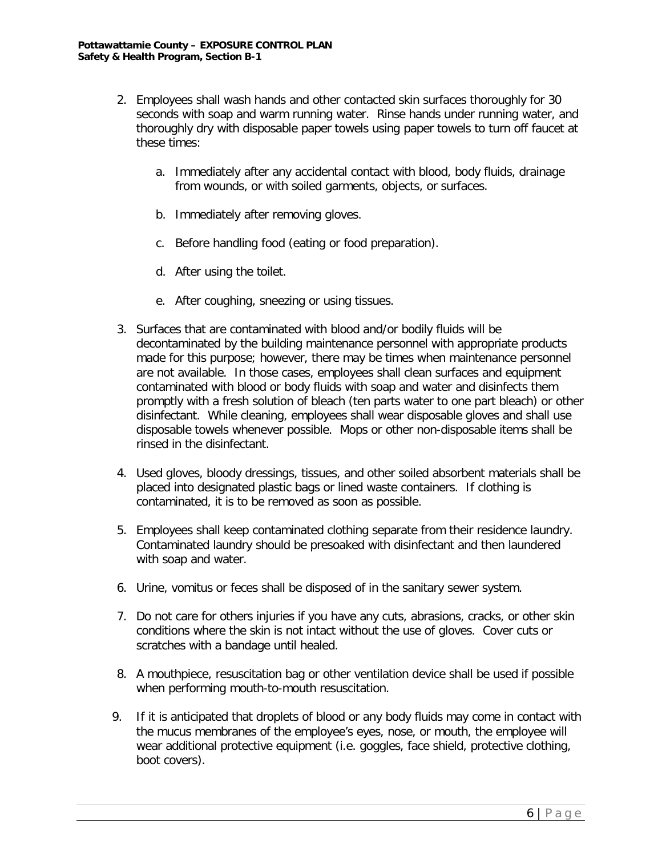- 2. Employees shall wash hands and other contacted skin surfaces thoroughly for 30 seconds with soap and warm running water. Rinse hands under running water, and thoroughly dry with disposable paper towels using paper towels to turn off faucet at these times:
	- a. Immediately after any accidental contact with blood, body fluids, drainage from wounds, or with soiled garments, objects, or surfaces.
	- b. Immediately after removing gloves.
	- c. Before handling food (eating or food preparation).
	- d. After using the toilet.
	- e. After coughing, sneezing or using tissues.
- 3. Surfaces that are contaminated with blood and/or bodily fluids will be decontaminated by the building maintenance personnel with appropriate products made for this purpose; however, there may be times when maintenance personnel are not available. In those cases, employees shall clean surfaces and equipment contaminated with blood or body fluids with soap and water and disinfects them promptly with a fresh solution of bleach (ten parts water to one part bleach) or other disinfectant. While cleaning, employees shall wear disposable gloves and shall use disposable towels whenever possible. Mops or other non-disposable items shall be rinsed in the disinfectant.
- 4. Used gloves, bloody dressings, tissues, and other soiled absorbent materials shall be placed into designated plastic bags or lined waste containers. If clothing is contaminated, it is to be removed as soon as possible.
- 5. Employees shall keep contaminated clothing separate from their residence laundry. Contaminated laundry should be presoaked with disinfectant and then laundered with soap and water.
- 6. Urine, vomitus or feces shall be disposed of in the sanitary sewer system.
- 7. Do not care for others injuries if you have any cuts, abrasions, cracks, or other skin conditions where the skin is not intact without the use of gloves. Cover cuts or scratches with a bandage until healed.
- 8. A mouthpiece, resuscitation bag or other ventilation device shall be used if possible when performing mouth-to-mouth resuscitation.
- 9. If it is anticipated that droplets of blood or any body fluids may come in contact with the mucus membranes of the employee's eyes, nose, or mouth, the employee will wear additional protective equipment (i.e. goggles, face shield, protective clothing, boot covers).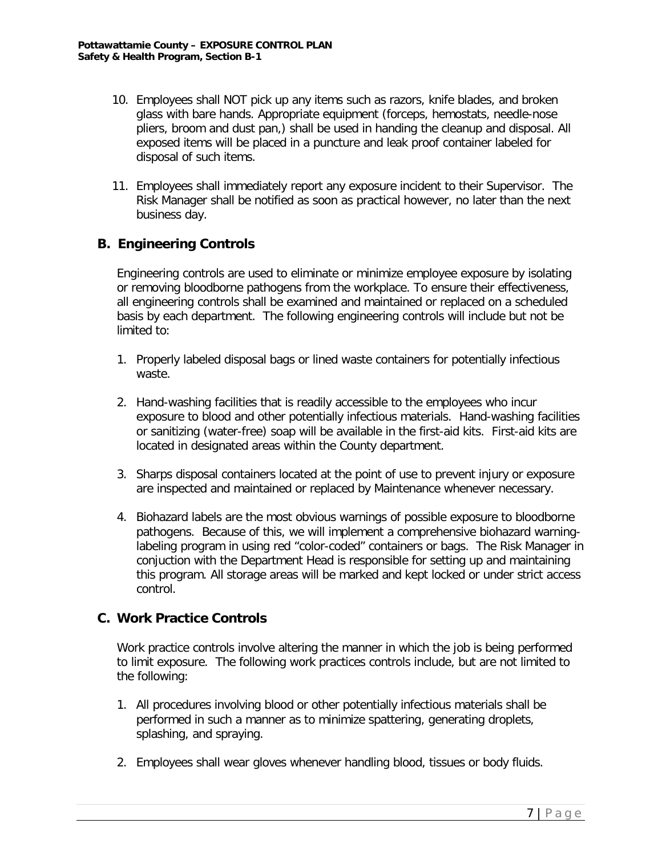- 10. Employees shall NOT pick up any items such as razors, knife blades, and broken glass with bare hands. Appropriate equipment (forceps, hemostats, needle-nose pliers, broom and dust pan,) shall be used in handing the cleanup and disposal. All exposed items will be placed in a puncture and leak proof container labeled for disposal of such items.
- 11. Employees shall immediately report any exposure incident to their Supervisor. The Risk Manager shall be notified as soon as practical however, no later than the next business day.

#### **B. Engineering Controls**

Engineering controls are used to eliminate or minimize employee exposure by isolating or removing bloodborne pathogens from the workplace. To ensure their effectiveness, all engineering controls shall be examined and maintained or replaced on a scheduled basis by each department. The following engineering controls will include but not be limited to:

- 1. Properly labeled disposal bags or lined waste containers for potentially infectious waste.
- 2. Hand-washing facilities that is readily accessible to the employees who incur exposure to blood and other potentially infectious materials. Hand-washing facilities or sanitizing (water-free) soap will be available in the first-aid kits. First-aid kits are located in designated areas within the County department.
- 3. Sharps disposal containers located at the point of use to prevent injury or exposure are inspected and maintained or replaced by Maintenance whenever necessary.
- 4. Biohazard labels are the most obvious warnings of possible exposure to bloodborne pathogens. Because of this, we will implement a comprehensive biohazard warninglabeling program in using red "color-coded" containers or bags. The Risk Manager in conjuction with the Department Head is responsible for setting up and maintaining this program. All storage areas will be marked and kept locked or under strict access control.

#### **C. Work Practice Controls**

Work practice controls involve altering the manner in which the job is being performed to limit exposure. The following work practices controls include, but are not limited to the following:

- 1. All procedures involving blood or other potentially infectious materials shall be performed in such a manner as to minimize spattering, generating droplets, splashing, and spraying.
- 2. Employees shall wear gloves whenever handling blood, tissues or body fluids.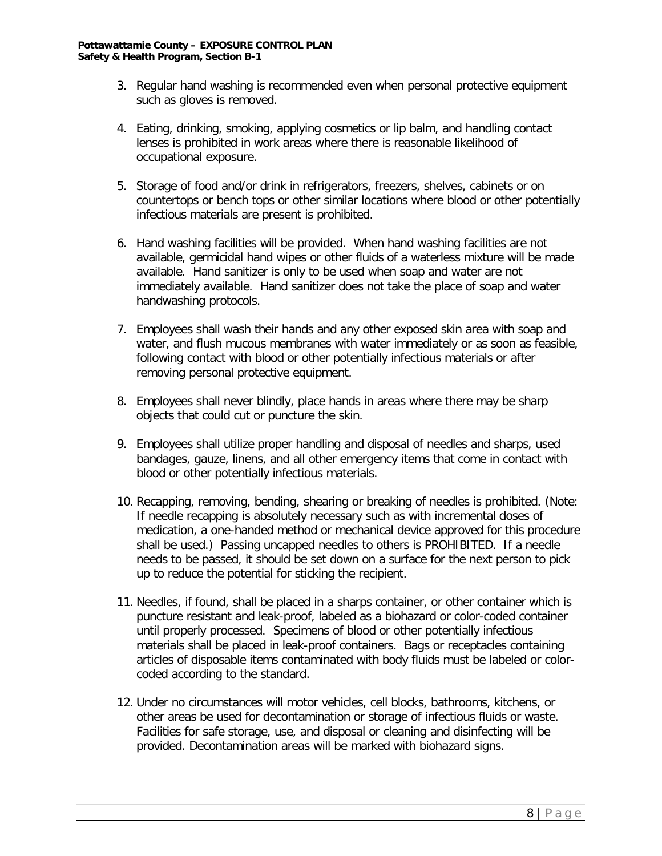- 3. Regular hand washing is recommended even when personal protective equipment such as gloves is removed.
- 4. Eating, drinking, smoking, applying cosmetics or lip balm, and handling contact lenses is prohibited in work areas where there is reasonable likelihood of occupational exposure.
- 5. Storage of food and/or drink in refrigerators, freezers, shelves, cabinets or on countertops or bench tops or other similar locations where blood or other potentially infectious materials are present is prohibited.
- 6. Hand washing facilities will be provided. When hand washing facilities are not available, germicidal hand wipes or other fluids of a waterless mixture will be made available. Hand sanitizer is only to be used when soap and water are not immediately available. Hand sanitizer does not take the place of soap and water handwashing protocols.
- 7. Employees shall wash their hands and any other exposed skin area with soap and water, and flush mucous membranes with water immediately or as soon as feasible, following contact with blood or other potentially infectious materials or after removing personal protective equipment.
- 8. Employees shall never blindly, place hands in areas where there may be sharp objects that could cut or puncture the skin.
- 9. Employees shall utilize proper handling and disposal of needles and sharps, used bandages, gauze, linens, and all other emergency items that come in contact with blood or other potentially infectious materials.
- 10. Recapping, removing, bending, shearing or breaking of needles is prohibited. (Note: If needle recapping is absolutely necessary such as with incremental doses of medication, a one-handed method or mechanical device approved for this procedure shall be used.) Passing uncapped needles to others is PROHIBITED. If a needle needs to be passed, it should be set down on a surface for the next person to pick up to reduce the potential for sticking the recipient.
- 11. Needles, if found, shall be placed in a sharps container, or other container which is puncture resistant and leak-proof, labeled as a biohazard or color-coded container until properly processed. Specimens of blood or other potentially infectious materials shall be placed in leak-proof containers. Bags or receptacles containing articles of disposable items contaminated with body fluids must be labeled or colorcoded according to the standard.
- 12. Under no circumstances will motor vehicles, cell blocks, bathrooms, kitchens, or other areas be used for decontamination or storage of infectious fluids or waste. Facilities for safe storage, use, and disposal or cleaning and disinfecting will be provided. Decontamination areas will be marked with biohazard signs.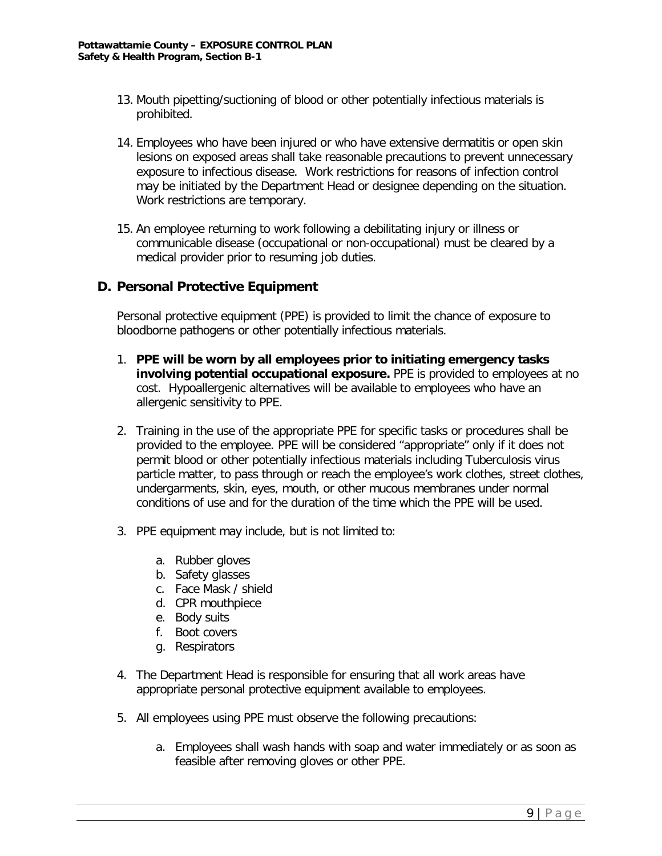- 13. Mouth pipetting/suctioning of blood or other potentially infectious materials is prohibited.
- 14. Employees who have been injured or who have extensive dermatitis or open skin lesions on exposed areas shall take reasonable precautions to prevent unnecessary exposure to infectious disease. Work restrictions for reasons of infection control may be initiated by the Department Head or designee depending on the situation. Work restrictions are temporary.
- 15. An employee returning to work following a debilitating injury or illness or communicable disease (occupational or non-occupational) must be cleared by a medical provider prior to resuming job duties.

#### **D. Personal Protective Equipment**

Personal protective equipment (PPE) is provided to limit the chance of exposure to bloodborne pathogens or other potentially infectious materials.

- 1. **PPE will be worn by all employees prior to initiating emergency tasks involving potential occupational exposure.** PPE is provided to employees at no cost. Hypoallergenic alternatives will be available to employees who have an allergenic sensitivity to PPE.
- 2. Training in the use of the appropriate PPE for specific tasks or procedures shall be provided to the employee. PPE will be considered "appropriate" only if it does not permit blood or other potentially infectious materials including Tuberculosis virus particle matter, to pass through or reach the employee's work clothes, street clothes, undergarments, skin, eyes, mouth, or other mucous membranes under normal conditions of use and for the duration of the time which the PPE will be used.
- 3. PPE equipment may include, but is not limited to:
	- a. Rubber gloves
	- b. Safety glasses
	- c. Face Mask / shield
	- d. CPR mouthpiece
	- e. Body suits
	- f. Boot covers
	- g. Respirators
- 4. The Department Head is responsible for ensuring that all work areas have appropriate personal protective equipment available to employees.
- 5. All employees using PPE must observe the following precautions:
	- a. Employees shall wash hands with soap and water immediately or as soon as feasible after removing gloves or other PPE.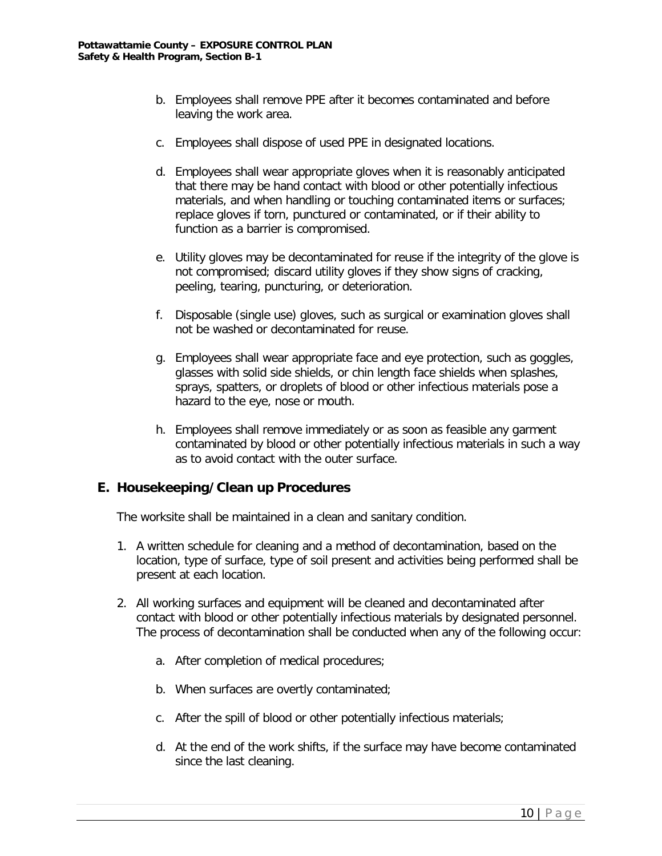- b. Employees shall remove PPE after it becomes contaminated and before leaving the work area.
- c. Employees shall dispose of used PPE in designated locations.
- d. Employees shall wear appropriate gloves when it is reasonably anticipated that there may be hand contact with blood or other potentially infectious materials, and when handling or touching contaminated items or surfaces; replace gloves if torn, punctured or contaminated, or if their ability to function as a barrier is compromised.
- e. Utility gloves may be decontaminated for reuse if the integrity of the glove is not compromised; discard utility gloves if they show signs of cracking, peeling, tearing, puncturing, or deterioration.
- f. Disposable (single use) gloves, such as surgical or examination gloves shall not be washed or decontaminated for reuse.
- g. Employees shall wear appropriate face and eye protection, such as goggles, glasses with solid side shields, or chin length face shields when splashes, sprays, spatters, or droplets of blood or other infectious materials pose a hazard to the eye, nose or mouth.
- h. Employees shall remove immediately or as soon as feasible any garment contaminated by blood or other potentially infectious materials in such a way as to avoid contact with the outer surface.

#### **E. Housekeeping/Clean up Procedures**

The worksite shall be maintained in a clean and sanitary condition.

- 1. A written schedule for cleaning and a method of decontamination, based on the location, type of surface, type of soil present and activities being performed shall be present at each location.
- 2. All working surfaces and equipment will be cleaned and decontaminated after contact with blood or other potentially infectious materials by designated personnel. The process of decontamination shall be conducted when any of the following occur:
	- a. After completion of medical procedures;
	- b. When surfaces are overtly contaminated;
	- c. After the spill of blood or other potentially infectious materials;
	- d. At the end of the work shifts, if the surface may have become contaminated since the last cleaning.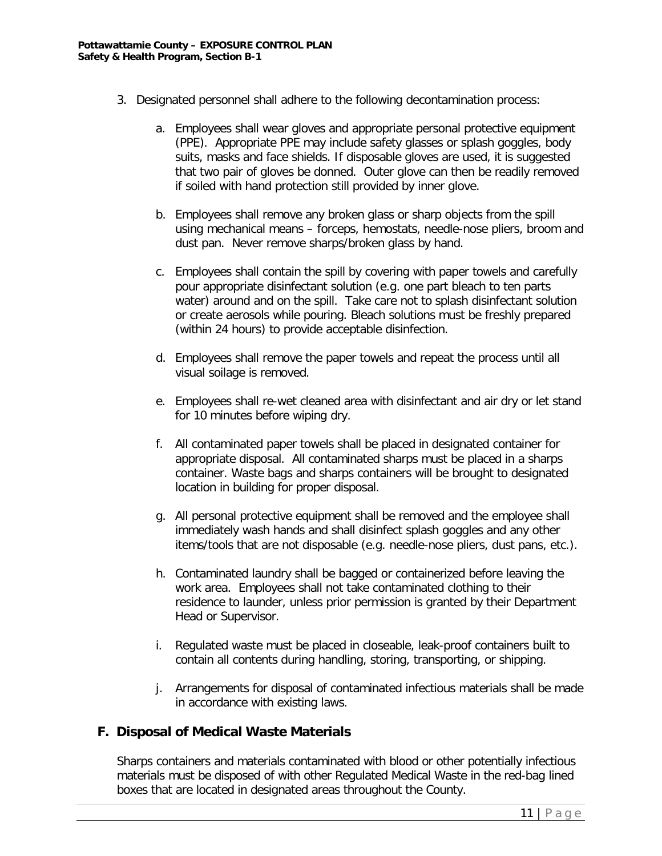- 3. Designated personnel shall adhere to the following decontamination process:
	- a. Employees shall wear gloves and appropriate personal protective equipment (PPE). Appropriate PPE may include safety glasses or splash goggles, body suits, masks and face shields. If disposable gloves are used, it is suggested that two pair of gloves be donned. Outer glove can then be readily removed if soiled with hand protection still provided by inner glove.
	- b. Employees shall remove any broken glass or sharp objects from the spill using mechanical means – forceps, hemostats, needle-nose pliers, broom and dust pan. Never remove sharps/broken glass by hand.
	- c. Employees shall contain the spill by covering with paper towels and carefully pour appropriate disinfectant solution (e.g. one part bleach to ten parts water) around and on the spill. Take care not to splash disinfectant solution or create aerosols while pouring. Bleach solutions must be freshly prepared (within 24 hours) to provide acceptable disinfection.
	- d. Employees shall remove the paper towels and repeat the process until all visual soilage is removed.
	- e. Employees shall re-wet cleaned area with disinfectant and air dry or let stand for 10 minutes before wiping dry.
	- f. All contaminated paper towels shall be placed in designated container for appropriate disposal. All contaminated sharps must be placed in a sharps container. Waste bags and sharps containers will be brought to designated location in building for proper disposal.
	- g. All personal protective equipment shall be removed and the employee shall immediately wash hands and shall disinfect splash goggles and any other items/tools that are not disposable (e.g. needle-nose pliers, dust pans, etc.).
	- h. Contaminated laundry shall be bagged or containerized before leaving the work area. Employees shall not take contaminated clothing to their residence to launder, unless prior permission is granted by their Department Head or Supervisor.
	- i. Regulated waste must be placed in closeable, leak-proof containers built to contain all contents during handling, storing, transporting, or shipping.
	- j. Arrangements for disposal of contaminated infectious materials shall be made in accordance with existing laws.

#### **F. Disposal of Medical Waste Materials**

Sharps containers and materials contaminated with blood or other potentially infectious materials must be disposed of with other Regulated Medical Waste in the red-bag lined boxes that are located in designated areas throughout the County.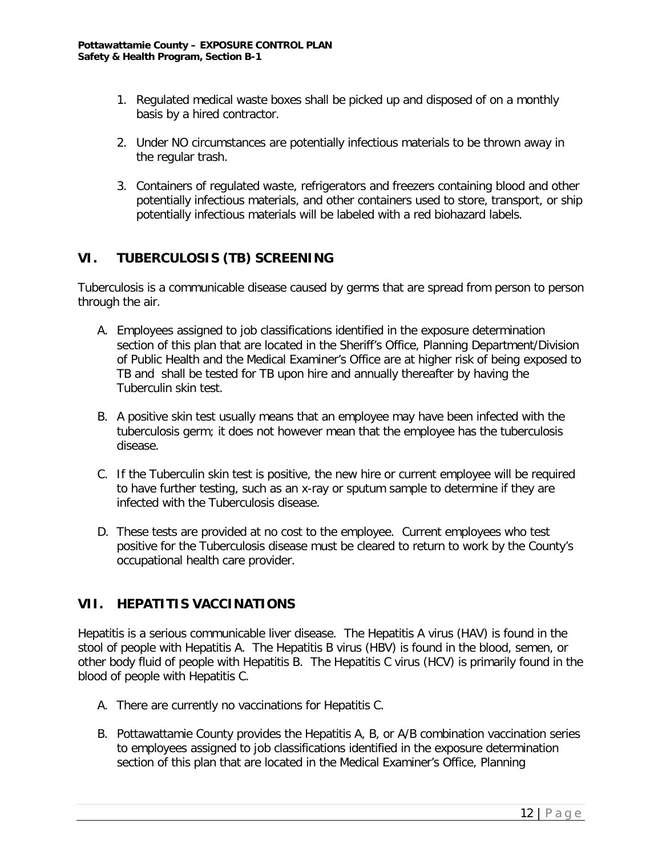- 1. Regulated medical waste boxes shall be picked up and disposed of on a monthly basis by a hired contractor.
- 2. Under NO circumstances are potentially infectious materials to be thrown away in the regular trash.
- 3. Containers of regulated waste, refrigerators and freezers containing blood and other potentially infectious materials, and other containers used to store, transport, or ship potentially infectious materials will be labeled with a red biohazard labels.

#### **VI. TUBERCULOSIS (TB) SCREENING**

Tuberculosis is a communicable disease caused by germs that are spread from person to person through the air.

- A. Employees assigned to job classifications identified in the exposure determination section of this plan that are located in the Sheriff's Office, Planning Department/Division of Public Health and the Medical Examiner's Office are at higher risk of being exposed to TB and shall be tested for TB upon hire and annually thereafter by having the Tuberculin skin test.
- B. A positive skin test usually means that an employee may have been infected with the tuberculosis germ; it does not however mean that the employee has the tuberculosis disease.
- C. If the Tuberculin skin test is positive, the new hire or current employee will be required to have further testing, such as an x-ray or sputum sample to determine if they are infected with the Tuberculosis disease.
- D. These tests are provided at no cost to the employee. Current employees who test positive for the Tuberculosis disease must be cleared to return to work by the County's occupational health care provider.

#### **VII. HEPATITIS VACCINATIONS**

Hepatitis is a serious communicable liver disease. The Hepatitis A virus (HAV) is found in the stool of people with Hepatitis A. The Hepatitis B virus (HBV) is found in the blood, semen, or other body fluid of people with Hepatitis B. The Hepatitis C virus (HCV) is primarily found in the blood of people with Hepatitis C.

- A. There are currently no vaccinations for Hepatitis C.
- B. Pottawattamie County provides the Hepatitis A, B, or A/B combination vaccination series to employees assigned to job classifications identified in the exposure determination section of this plan that are located in the Medical Examiner's Office, Planning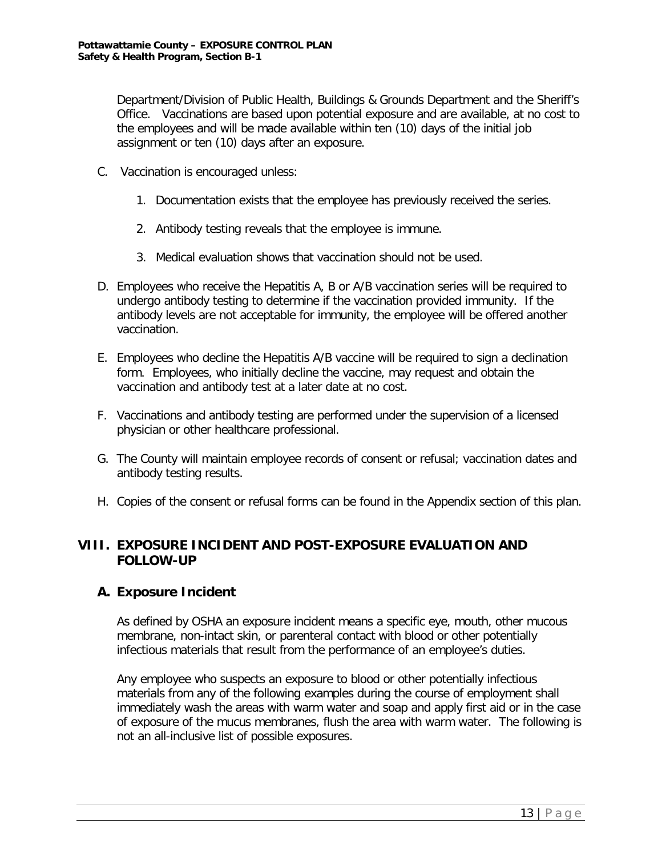Department/Division of Public Health, Buildings & Grounds Department and the Sheriff's Office. Vaccinations are based upon potential exposure and are available, at no cost to the employees and will be made available within ten (10) days of the initial job assignment or ten (10) days after an exposure.

- C. Vaccination is encouraged unless:
	- 1. Documentation exists that the employee has previously received the series.
	- 2. Antibody testing reveals that the employee is immune.
	- 3. Medical evaluation shows that vaccination should not be used.
- D. Employees who receive the Hepatitis A, B or A/B vaccination series will be required to undergo antibody testing to determine if the vaccination provided immunity. If the antibody levels are not acceptable for immunity, the employee will be offered another vaccination.
- E. Employees who decline the Hepatitis A/B vaccine will be required to sign a declination form. Employees, who initially decline the vaccine, may request and obtain the vaccination and antibody test at a later date at no cost.
- F. Vaccinations and antibody testing are performed under the supervision of a licensed physician or other healthcare professional.
- G. The County will maintain employee records of consent or refusal; vaccination dates and antibody testing results.
- H. Copies of the consent or refusal forms can be found in the Appendix section of this plan.

#### **VIII. EXPOSURE INCIDENT AND POST-EXPOSURE EVALUATION AND FOLLOW-UP**

#### **A. Exposure Incident**

As defined by OSHA an exposure incident means a specific eye, mouth, other mucous membrane, non-intact skin, or parenteral contact with blood or other potentially infectious materials that result from the performance of an employee's duties.

Any employee who suspects an exposure to blood or other potentially infectious materials from any of the following examples during the course of employment shall immediately wash the areas with warm water and soap and apply first aid or in the case of exposure of the mucus membranes, flush the area with warm water. The following is not an all-inclusive list of possible exposures.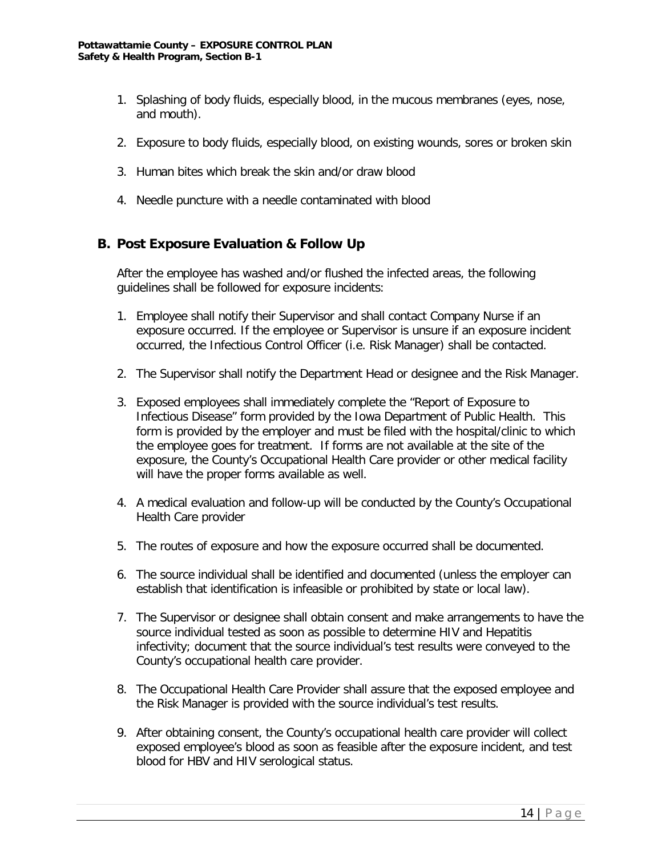- 1. Splashing of body fluids, especially blood, in the mucous membranes (eyes, nose, and mouth).
- 2. Exposure to body fluids, especially blood, on existing wounds, sores or broken skin
- 3. Human bites which break the skin and/or draw blood
- 4. Needle puncture with a needle contaminated with blood

#### **B. Post Exposure Evaluation & Follow Up**

After the employee has washed and/or flushed the infected areas, the following guidelines shall be followed for exposure incidents:

- 1. Employee shall notify their Supervisor and shall contact Company Nurse if an exposure occurred. If the employee or Supervisor is unsure if an exposure incident occurred, the Infectious Control Officer (i.e. Risk Manager) shall be contacted.
- 2. The Supervisor shall notify the Department Head or designee and the Risk Manager.
- 3. Exposed employees shall immediately complete the "Report of Exposure to Infectious Disease" form provided by the Iowa Department of Public Health. This form is provided by the employer and must be filed with the hospital/clinic to which the employee goes for treatment. If forms are not available at the site of the exposure, the County's Occupational Health Care provider or other medical facility will have the proper forms available as well.
- 4. A medical evaluation and follow-up will be conducted by the County's Occupational Health Care provider
- 5. The routes of exposure and how the exposure occurred shall be documented.
- 6. The source individual shall be identified and documented (unless the employer can establish that identification is infeasible or prohibited by state or local law).
- 7. The Supervisor or designee shall obtain consent and make arrangements to have the source individual tested as soon as possible to determine HIV and Hepatitis infectivity; document that the source individual's test results were conveyed to the County's occupational health care provider.
- 8. The Occupational Health Care Provider shall assure that the exposed employee and the Risk Manager is provided with the source individual's test results.
- 9. After obtaining consent, the County's occupational health care provider will collect exposed employee's blood as soon as feasible after the exposure incident, and test blood for HBV and HIV serological status.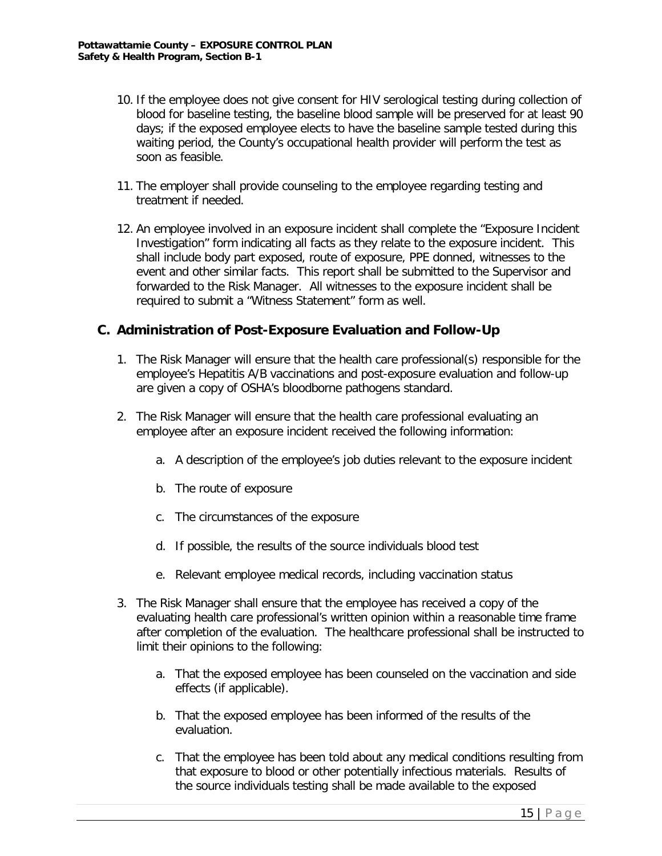- 10. If the employee does not give consent for HIV serological testing during collection of blood for baseline testing, the baseline blood sample will be preserved for at least 90 days; if the exposed employee elects to have the baseline sample tested during this waiting period, the County's occupational health provider will perform the test as soon as feasible.
- 11. The employer shall provide counseling to the employee regarding testing and treatment if needed.
- 12. An employee involved in an exposure incident shall complete the "Exposure Incident Investigation" form indicating all facts as they relate to the exposure incident. This shall include body part exposed, route of exposure, PPE donned, witnesses to the event and other similar facts. This report shall be submitted to the Supervisor and forwarded to the Risk Manager. All witnesses to the exposure incident shall be required to submit a "Witness Statement" form as well.

#### **C. Administration of Post-Exposure Evaluation and Follow-Up**

- 1. The Risk Manager will ensure that the health care professional(s) responsible for the employee's Hepatitis A/B vaccinations and post-exposure evaluation and follow-up are given a copy of OSHA's bloodborne pathogens standard.
- 2. The Risk Manager will ensure that the health care professional evaluating an employee after an exposure incident received the following information:
	- a. A description of the employee's job duties relevant to the exposure incident
	- b. The route of exposure
	- c. The circumstances of the exposure
	- d. If possible, the results of the source individuals blood test
	- e. Relevant employee medical records, including vaccination status
- 3. The Risk Manager shall ensure that the employee has received a copy of the evaluating health care professional's written opinion within a reasonable time frame after completion of the evaluation. The healthcare professional shall be instructed to limit their opinions to the following:
	- a. That the exposed employee has been counseled on the vaccination and side effects (if applicable).
	- b. That the exposed employee has been informed of the results of the evaluation.
	- c. That the employee has been told about any medical conditions resulting from that exposure to blood or other potentially infectious materials. Results of the source individuals testing shall be made available to the exposed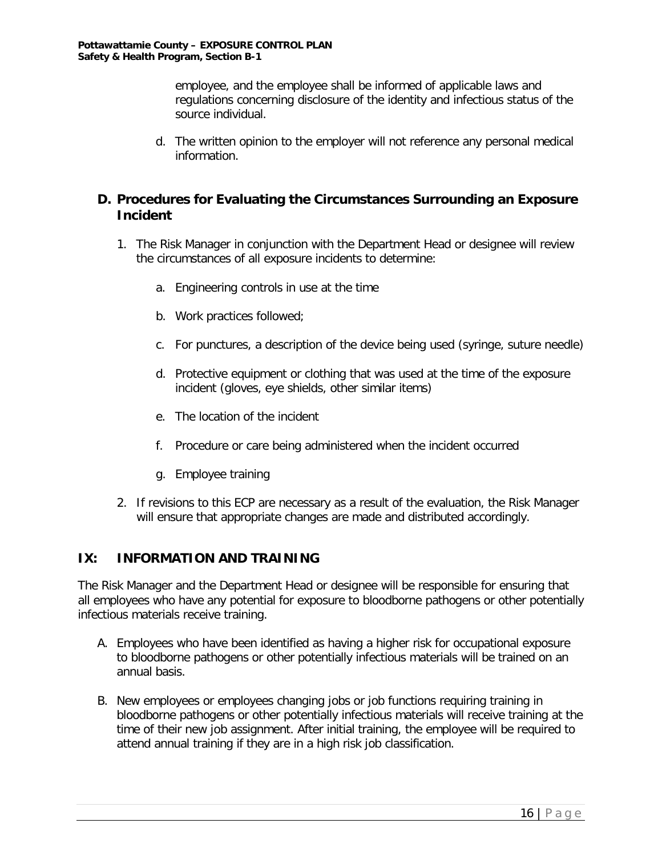employee, and the employee shall be informed of applicable laws and regulations concerning disclosure of the identity and infectious status of the source individual.

d. The written opinion to the employer will not reference any personal medical information.

#### **D. Procedures for Evaluating the Circumstances Surrounding an Exposure Incident**

- 1. The Risk Manager in conjunction with the Department Head or designee will review the circumstances of all exposure incidents to determine:
	- a. Engineering controls in use at the time
	- b. Work practices followed;
	- c. For punctures, a description of the device being used (syringe, suture needle)
	- d. Protective equipment or clothing that was used at the time of the exposure incident (gloves, eye shields, other similar items)
	- e. The location of the incident
	- f. Procedure or care being administered when the incident occurred
	- g. Employee training
- 2. If revisions to this ECP are necessary as a result of the evaluation, the Risk Manager will ensure that appropriate changes are made and distributed accordingly.

#### **IX: INFORMATION AND TRAINING**

The Risk Manager and the Department Head or designee will be responsible for ensuring that all employees who have any potential for exposure to bloodborne pathogens or other potentially infectious materials receive training.

- A. Employees who have been identified as having a higher risk for occupational exposure to bloodborne pathogens or other potentially infectious materials will be trained on an annual basis.
- B. New employees or employees changing jobs or job functions requiring training in bloodborne pathogens or other potentially infectious materials will receive training at the time of their new job assignment. After initial training, the employee will be required to attend annual training if they are in a high risk job classification.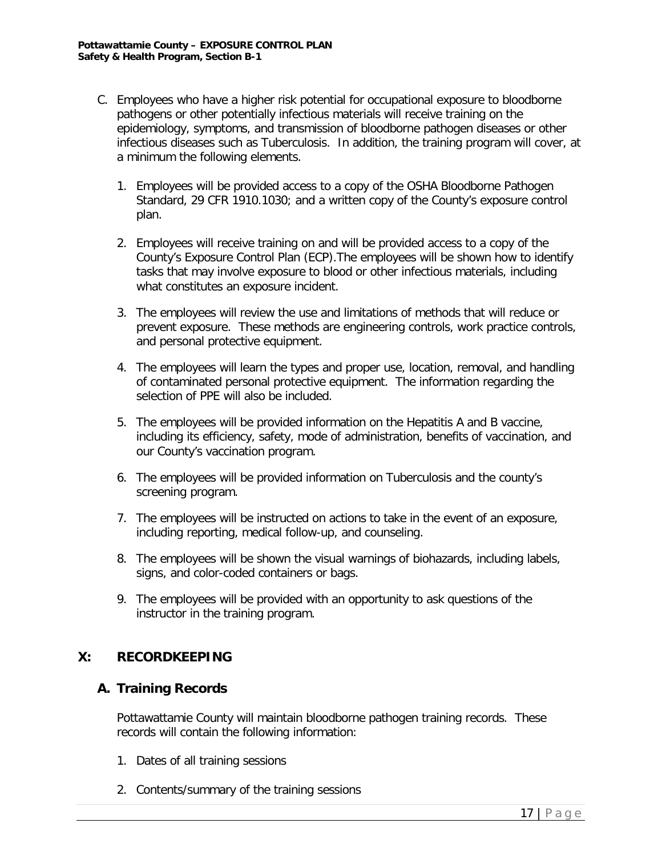- C. Employees who have a higher risk potential for occupational exposure to bloodborne pathogens or other potentially infectious materials will receive training on the epidemiology, symptoms, and transmission of bloodborne pathogen diseases or other infectious diseases such as Tuberculosis. In addition, the training program will cover, at a minimum the following elements.
	- 1. Employees will be provided access to a copy of the OSHA Bloodborne Pathogen Standard, 29 CFR 1910.1030; and a written copy of the County's exposure control plan.
	- 2. Employees will receive training on and will be provided access to a copy of the County's Exposure Control Plan (ECP).The employees will be shown how to identify tasks that may involve exposure to blood or other infectious materials, including what constitutes an exposure incident.
	- 3. The employees will review the use and limitations of methods that will reduce or prevent exposure. These methods are engineering controls, work practice controls, and personal protective equipment.
	- 4. The employees will learn the types and proper use, location, removal, and handling of contaminated personal protective equipment. The information regarding the selection of PPE will also be included.
	- 5. The employees will be provided information on the Hepatitis A and B vaccine, including its efficiency, safety, mode of administration, benefits of vaccination, and our County's vaccination program.
	- 6. The employees will be provided information on Tuberculosis and the county's screening program.
	- 7. The employees will be instructed on actions to take in the event of an exposure, including reporting, medical follow-up, and counseling.
	- 8. The employees will be shown the visual warnings of biohazards, including labels, signs, and color-coded containers or bags.
	- 9. The employees will be provided with an opportunity to ask questions of the instructor in the training program.

#### **X: RECORDKEEPING**

#### **A. Training Records**

Pottawattamie County will maintain bloodborne pathogen training records. These records will contain the following information:

- 1. Dates of all training sessions
- 2. Contents/summary of the training sessions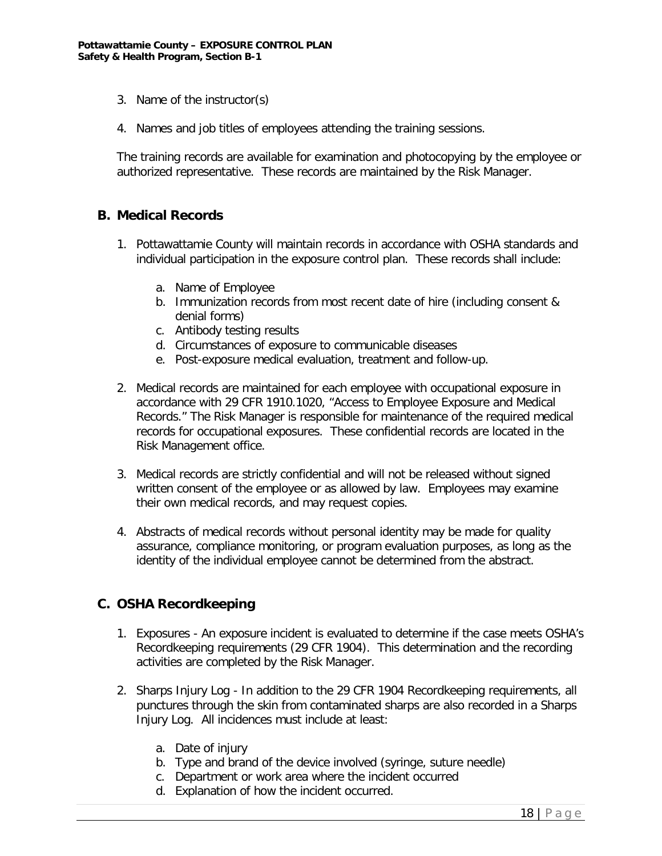- 3. Name of the instructor(s)
- 4. Names and job titles of employees attending the training sessions.

The training records are available for examination and photocopying by the employee or authorized representative. These records are maintained by the Risk Manager.

#### **B. Medical Records**

- 1. Pottawattamie County will maintain records in accordance with OSHA standards and individual participation in the exposure control plan. These records shall include:
	- a. Name of Employee
	- b. Immunization records from most recent date of hire (including consent & denial forms)
	- c. Antibody testing results
	- d. Circumstances of exposure to communicable diseases
	- e. Post-exposure medical evaluation, treatment and follow-up.
- 2. Medical records are maintained for each employee with occupational exposure in accordance with 29 CFR 1910.1020, "Access to Employee Exposure and Medical Records." The Risk Manager is responsible for maintenance of the required medical records for occupational exposures. These confidential records are located in the Risk Management office.
- 3. Medical records are strictly confidential and will not be released without signed written consent of the employee or as allowed by law. Employees may examine their own medical records, and may request copies.
- 4. Abstracts of medical records without personal identity may be made for quality assurance, compliance monitoring, or program evaluation purposes, as long as the identity of the individual employee cannot be determined from the abstract.

#### **C. OSHA Recordkeeping**

- 1. Exposures An exposure incident is evaluated to determine if the case meets OSHA's Recordkeeping requirements (29 CFR 1904). This determination and the recording activities are completed by the Risk Manager.
- 2. Sharps Injury Log In addition to the 29 CFR 1904 Recordkeeping requirements, all punctures through the skin from contaminated sharps are also recorded in a Sharps Injury Log. All incidences must include at least:
	- a. Date of injury
	- b. Type and brand of the device involved (syringe, suture needle)
	- c. Department or work area where the incident occurred
	- d. Explanation of how the incident occurred.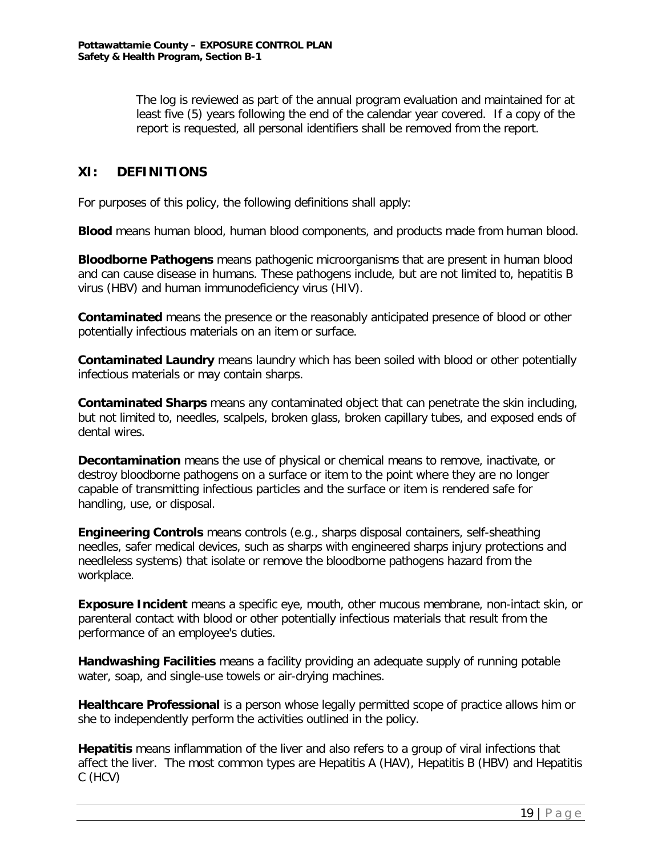The log is reviewed as part of the annual program evaluation and maintained for at least five (5) years following the end of the calendar year covered. If a copy of the report is requested, all personal identifiers shall be removed from the report.

#### **XI: DEFINITIONS**

For purposes of this policy, the following definitions shall apply:

**Blood** means human blood, human blood components, and products made from human blood.

**Bloodborne Pathogens** means pathogenic microorganisms that are present in human blood and can cause disease in humans. These pathogens include, but are not limited to, hepatitis B virus (HBV) and human immunodeficiency virus (HIV).

**Contaminated** means the presence or the reasonably anticipated presence of blood or other potentially infectious materials on an item or surface.

**Contaminated Laundry** means laundry which has been soiled with blood or other potentially infectious materials or may contain sharps.

**Contaminated Sharps** means any contaminated object that can penetrate the skin including, but not limited to, needles, scalpels, broken glass, broken capillary tubes, and exposed ends of dental wires.

**Decontamination** means the use of physical or chemical means to remove, inactivate, or destroy bloodborne pathogens on a surface or item to the point where they are no longer capable of transmitting infectious particles and the surface or item is rendered safe for handling, use, or disposal.

**Engineering Controls** means controls (e.g., sharps disposal containers, self-sheathing needles, safer medical devices, such as sharps with engineered sharps injury protections and needleless systems) that isolate or remove the bloodborne pathogens hazard from the workplace.

**Exposure Incident** means a specific eye, mouth, other mucous membrane, non-intact skin, or parenteral contact with blood or other potentially infectious materials that result from the performance of an employee's duties.

**Handwashing Facilities** means a facility providing an adequate supply of running potable water, soap, and single-use towels or air-drying machines.

**Healthcare Professional** is a person whose legally permitted scope of practice allows him or she to independently perform the activities outlined in the policy.

**Hepatitis** means inflammation of the liver and also refers to a group of viral infections that affect the liver. The most common types are Hepatitis A (HAV), Hepatitis B (HBV) and Hepatitis C (HCV)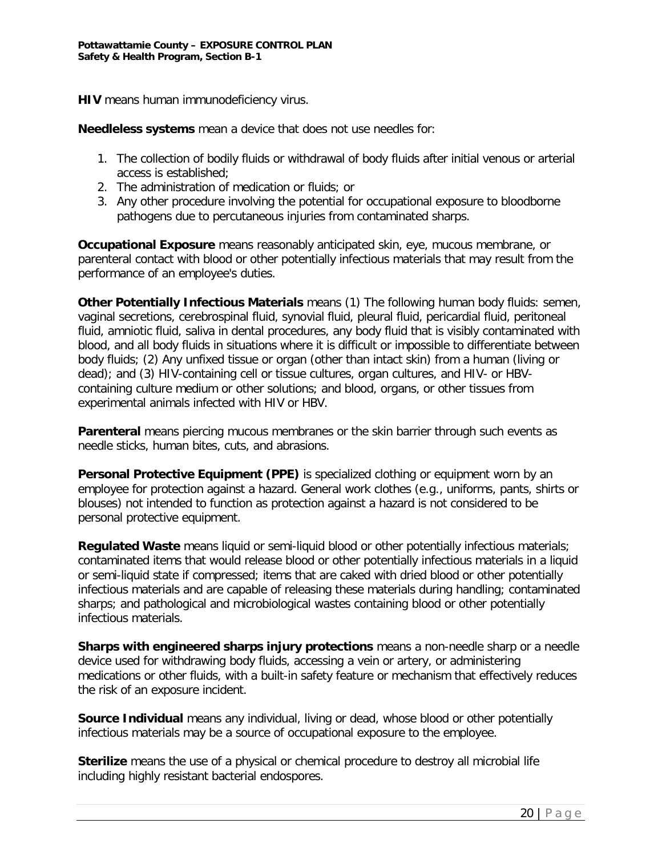**HIV** means human immunodeficiency virus.

**Needleless systems** mean a device that does not use needles for:

- 1. The collection of bodily fluids or withdrawal of body fluids after initial venous or arterial access is established;
- 2. The administration of medication or fluids; or
- 3. Any other procedure involving the potential for occupational exposure to bloodborne pathogens due to percutaneous injuries from contaminated sharps.

**Occupational Exposure** means reasonably anticipated skin, eye, mucous membrane, or parenteral contact with blood or other potentially infectious materials that may result from the performance of an employee's duties.

**Other Potentially Infectious Materials** means (1) The following human body fluids: semen, vaginal secretions, cerebrospinal fluid, synovial fluid, pleural fluid, pericardial fluid, peritoneal fluid, amniotic fluid, saliva in dental procedures, any body fluid that is visibly contaminated with blood, and all body fluids in situations where it is difficult or impossible to differentiate between body fluids; (2) Any unfixed tissue or organ (other than intact skin) from a human (living or dead); and (3) HIV-containing cell or tissue cultures, organ cultures, and HIV- or HBVcontaining culture medium or other solutions; and blood, organs, or other tissues from experimental animals infected with HIV or HBV.

**Parenteral** means piercing mucous membranes or the skin barrier through such events as needle sticks, human bites, cuts, and abrasions.

**Personal Protective Equipment (PPE)** is specialized clothing or equipment worn by an employee for protection against a hazard. General work clothes (e.g., uniforms, pants, shirts or blouses) not intended to function as protection against a hazard is not considered to be personal protective equipment.

**Regulated Waste** means liquid or semi-liquid blood or other potentially infectious materials; contaminated items that would release blood or other potentially infectious materials in a liquid or semi-liquid state if compressed; items that are caked with dried blood or other potentially infectious materials and are capable of releasing these materials during handling; contaminated sharps; and pathological and microbiological wastes containing blood or other potentially infectious materials.

**Sharps with engineered sharps injury protections** means a non-needle sharp or a needle device used for withdrawing body fluids, accessing a vein or artery, or administering medications or other fluids, with a built-in safety feature or mechanism that effectively reduces the risk of an exposure incident.

**Source Individual** means any individual, living or dead, whose blood or other potentially infectious materials may be a source of occupational exposure to the employee.

**Sterilize** means the use of a physical or chemical procedure to destroy all microbial life including highly resistant bacterial endospores.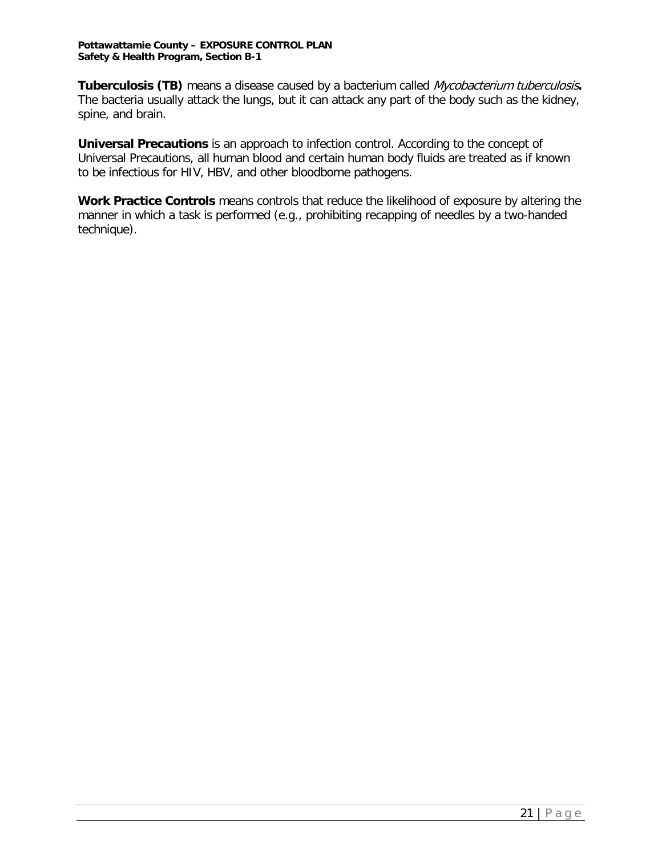#### **Pottawattamie County – EXPOSURE CONTROL PLAN Safety & Health Program, Section B-1**

**Tuberculosis (TB)** means a disease caused by a bacterium called Mycobacterium tuberculosis**.**  The bacteria usually attack the lungs, but it can attack any part of the body such as the kidney, spine, and brain.

**Universal Precautions** is an approach to infection control. According to the concept of Universal Precautions, all human blood and certain human body fluids are treated as if known to be infectious for HIV, HBV, and other bloodborne pathogens.

**Work Practice Controls** means controls that reduce the likelihood of exposure by altering the manner in which a task is performed (e.g., prohibiting recapping of needles by a two-handed technique).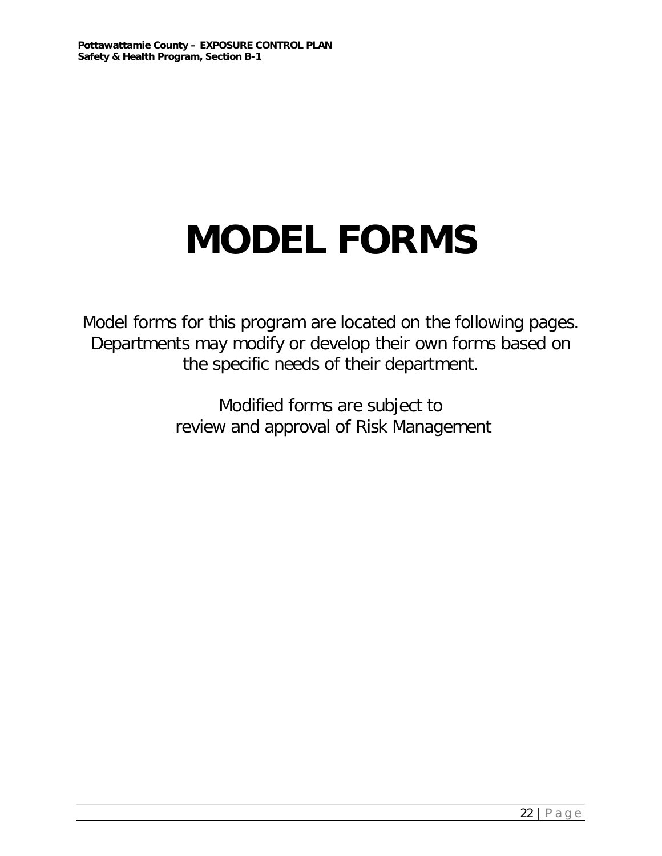# **MODEL FORMS**

Model forms for this program are located on the following pages. Departments may modify or develop their own forms based on the specific needs of their department.

> Modified forms are subject to review and approval of Risk Management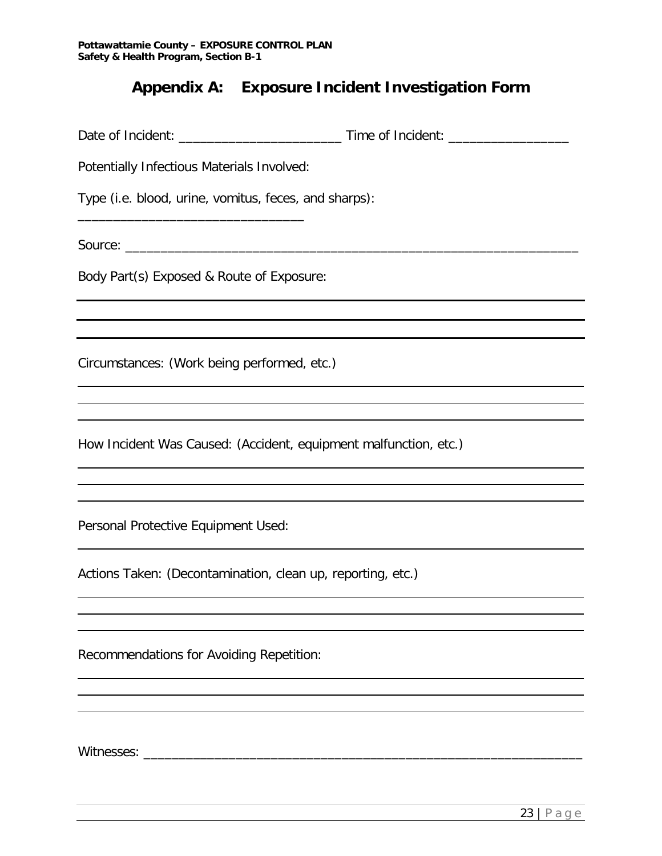#### **Appendix A: Exposure Incident Investigation Form**

Date of Incident: \_\_\_\_\_\_\_\_\_\_\_\_\_\_\_\_\_\_\_\_\_\_\_ Time of Incident: \_\_\_\_\_\_\_\_\_\_\_\_\_\_\_\_\_

Potentially Infectious Materials Involved:

\_\_\_\_\_\_\_\_\_\_\_\_\_\_\_\_\_\_\_\_\_\_\_\_\_\_\_\_\_\_\_\_

Type (i.e. blood, urine, vomitus, feces, and sharps):

Source: \_\_\_\_\_\_\_\_\_\_\_\_\_\_\_\_\_\_\_\_\_\_\_\_\_\_\_\_\_\_\_\_\_\_\_\_\_\_\_\_\_\_\_\_\_\_\_\_\_\_\_\_\_\_\_\_\_\_\_\_\_\_\_\_

Body Part(s) Exposed & Route of Exposure:

Circumstances: (Work being performed, etc.)

How Incident Was Caused: (Accident, equipment malfunction, etc.)

Personal Protective Equipment Used:

Actions Taken: (Decontamination, clean up, reporting, etc.)

Recommendations for Avoiding Repetition:

Witnesses: \_\_\_\_\_\_\_\_\_\_\_\_\_\_\_\_\_\_\_\_\_\_\_\_\_\_\_\_\_\_\_\_\_\_\_\_\_\_\_\_\_\_\_\_\_\_\_\_\_\_\_\_\_\_\_\_\_\_\_\_\_\_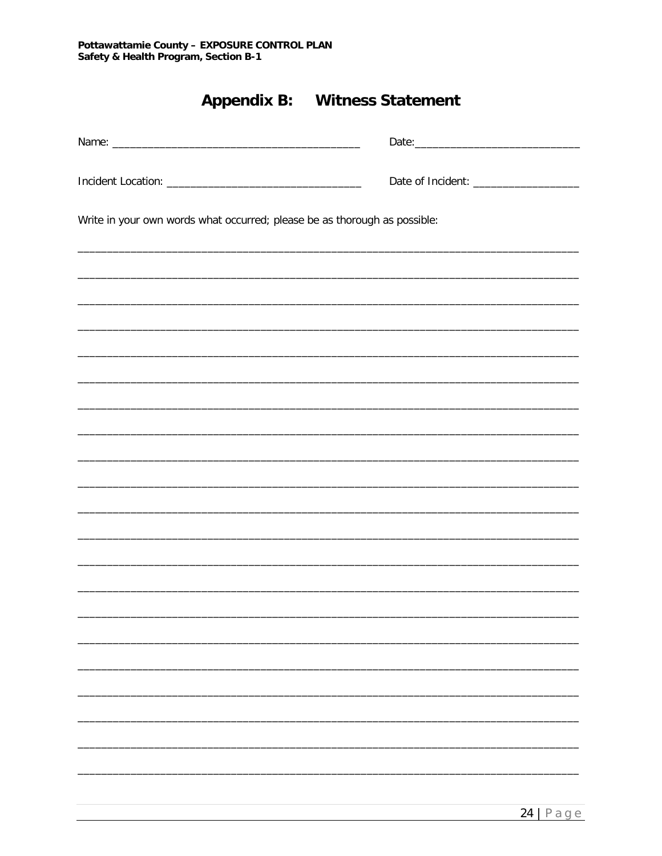| <b>Appendix B: Witness Statement</b> |                                                                           |  |                                                                                   |  |  |
|--------------------------------------|---------------------------------------------------------------------------|--|-----------------------------------------------------------------------------------|--|--|
|                                      |                                                                           |  |                                                                                   |  |  |
|                                      |                                                                           |  |                                                                                   |  |  |
|                                      | Write in your own words what occurred; please be as thorough as possible: |  |                                                                                   |  |  |
|                                      |                                                                           |  |                                                                                   |  |  |
|                                      |                                                                           |  | ,我们也不能会有什么。""我们的人,我们也不能会不能会不能会不能会不能会不能会不能会不能会不能会不能会。""我们的人,我们也不能会不能会不能会不能会不能会不能会  |  |  |
|                                      |                                                                           |  | ,我们也不能在这里的时候,我们也不能在这里的时候,我们也不能在这里的时候,我们也不能会不能在这里的时候,我们也不能会不能会不能会不能会不能会不能会不能会不能会不  |  |  |
|                                      |                                                                           |  | ,我们也不能在这里的时候,我们也不能在这里的时候,我们也不能在这里的时候,我们也不能会在这里的时候,我们也不能会在这里的时候,我们也不能会在这里的时候,我们也不能 |  |  |
|                                      |                                                                           |  |                                                                                   |  |  |
|                                      |                                                                           |  |                                                                                   |  |  |
|                                      |                                                                           |  |                                                                                   |  |  |
|                                      |                                                                           |  |                                                                                   |  |  |
|                                      |                                                                           |  |                                                                                   |  |  |
|                                      |                                                                           |  |                                                                                   |  |  |
|                                      |                                                                           |  |                                                                                   |  |  |
|                                      |                                                                           |  |                                                                                   |  |  |
|                                      |                                                                           |  |                                                                                   |  |  |
|                                      |                                                                           |  |                                                                                   |  |  |